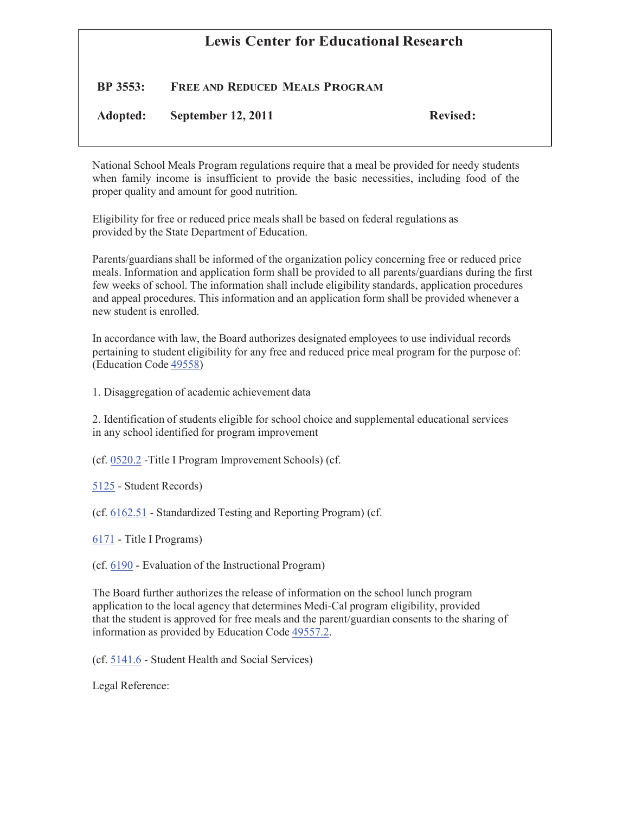# **Lewis Center for Educational Research**

# **BP 3553: FREE AND REDUCED MEALS PROGRAM**

**Adopted: September 12, 2011 Revised:**

National School Meals Program regulations require that a meal be provided for needy students when family income is insufficient to provide the basic necessities, including food of the proper quality and amount for good nutrition.

Eligibility for free or reduced price meals shall be based on federal regulations as provided by the State Department of Education.

Parents/guardians shall be informed of the organization policy concerning free or reduced price meals. Information and application form shall be provided to all parents/guardians during the first few weeks of school. The information shall include eligibility standards, application procedures and appeal procedures. This information and an application form shall be provided whenever a new student is enrolled.

In accordance with law, the Board authorizes designated employees to use individual records pertaining to student eligibility for any free and reduced price meal program for the purpose of: (Education Code 49558)

1. Disaggregation of academic achievement data

2. Identification of students eligible for school choice and supplemental educational services in any school identified for program improvement

(cf. 0520.2 -Title I Program Improvement Schools) (cf.

5125 - Student Records)

(cf. 6162.51 - Standardized Testing and Reporting Program) (cf.

6171 - Title I Programs)

(cf. 6190 - Evaluation of the Instructional Program)

The Board further authorizes the release of information on the school lunch program application to the local agency that determines Medi-Cal program eligibility, provided that the student is approved for free meals and the parent/guardian consents to the sharing of information as provided by Education Code 49557.2.

(cf. 5141.6 - Student Health and Social Services)

Legal Reference: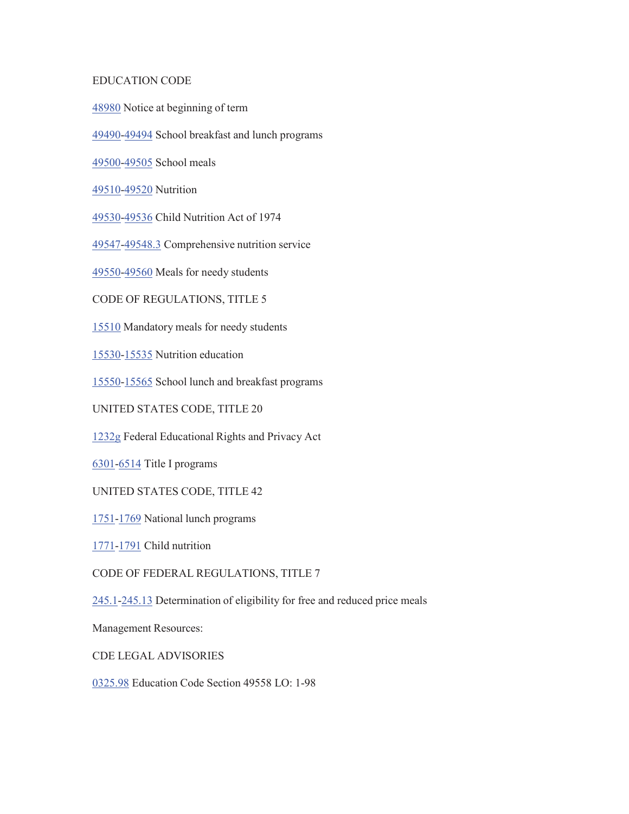## EDUCATION CODE

48980 Notice at beginning of term

49490-49494 School breakfast and lunch programs

49500-49505 School meals

49510-49520 Nutrition

49530-49536 Child Nutrition Act of 1974

49547-49548.3 Comprehensive nutrition service

49550-49560 Meals for needy students

CODE OF REGULATIONS, TITLE 5

15510 Mandatory meals for needy students

15530-15535 Nutrition education

15550-15565 School lunch and breakfast programs

UNITED STATES CODE, TITLE 20

1232g Federal Educational Rights and Privacy Act

6301-6514 Title I programs

UNITED STATES CODE, TITLE 42

1751-1769 National lunch programs

1771-1791 Child nutrition

CODE OF FEDERAL REGULATIONS, TITLE 7

245.1-245.13 Determination of eligibility for free and reduced price meals

Management Resources:

CDE LEGAL ADVISORIES

0325.98 Education Code Section 49558 LO: 1-98